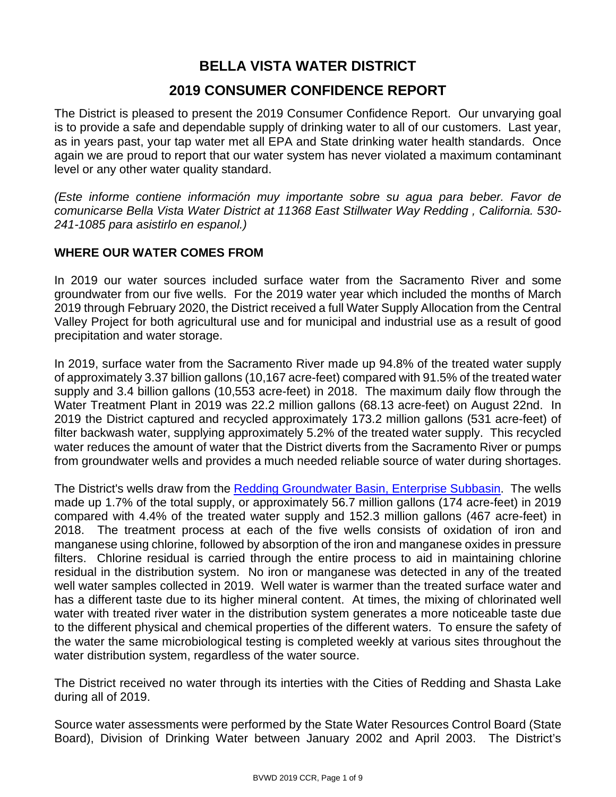## **BELLA VISTA WATER DISTRICT 2019 CONSUMER CONFIDENCE REPORT**

The District is pleased to present the 2019 Consumer Confidence Report. Our unvarying goal is to provide a safe and dependable supply of drinking water to all of our customers. Last year, as in years past, your tap water met all EPA and State drinking water health standards. Once again we are proud to report that our water system has never violated a maximum contaminant level or any other water quality standard.

*(Este informe contiene información muy importante sobre su agua para beber. Favor de comunicarse Bella Vista Water District at 11368 East Stillwater Way Redding , California. 530- 241-1085 para asistirlo en espanol.)*

### **WHERE OUR WATER COMES FROM**

In 2019 our water sources included surface water from the Sacramento River and some groundwater from our five wells. For the 2019 water year which included the months of March 2019 through February 2020, the District received a full Water Supply Allocation from the Central Valley Project for both agricultural use and for municipal and industrial use as a result of good precipitation and water storage.

In 2019, surface water from the Sacramento River made up 94.8% of the treated water supply of approximately 3.37 billion gallons (10,167 acre-feet) compared with 91.5% of the treated water supply and 3.4 billion gallons (10,553 acre-feet) in 2018. The maximum daily flow through the Water Treatment Plant in 2019 was 22.2 million gallons (68.13 acre-feet) on August 22nd. In 2019 the District captured and recycled approximately 173.2 million gallons (531 acre-feet) of filter backwash water, supplying approximately 5.2% of the treated water supply. This recycled water reduces the amount of water that the District diverts from the Sacramento River or pumps from groundwater wells and provides a much needed reliable source of water during shortages.

The District's wells draw from the [Redding Groundwater Basin, Enterprise Subbasin.](http://www.water.ca.gov/pubs/groundwater/bulletin_118/basindescriptions/5-6.04.pdf) The wells made up 1.7% of the total supply, or approximately 56.7 million gallons (174 acre-feet) in 2019 compared with 4.4% of the treated water supply and 152.3 million gallons (467 acre-feet) in 2018. The treatment process at each of the five wells consists of oxidation of iron and manganese using chlorine, followed by absorption of the iron and manganese oxides in pressure filters. Chlorine residual is carried through the entire process to aid in maintaining chlorine residual in the distribution system. No iron or manganese was detected in any of the treated well water samples collected in 2019. Well water is warmer than the treated surface water and has a different taste due to its higher mineral content. At times, the mixing of chlorinated well water with treated river water in the distribution system generates a more noticeable taste due to the different physical and chemical properties of the different waters. To ensure the safety of the water the same microbiological testing is completed weekly at various sites throughout the water distribution system, regardless of the water source.

The District received no water through its interties with the Cities of Redding and Shasta Lake during all of 2019.

Source water assessments were performed by the State Water Resources Control Board (State Board), Division of Drinking Water between January 2002 and April 2003. The District's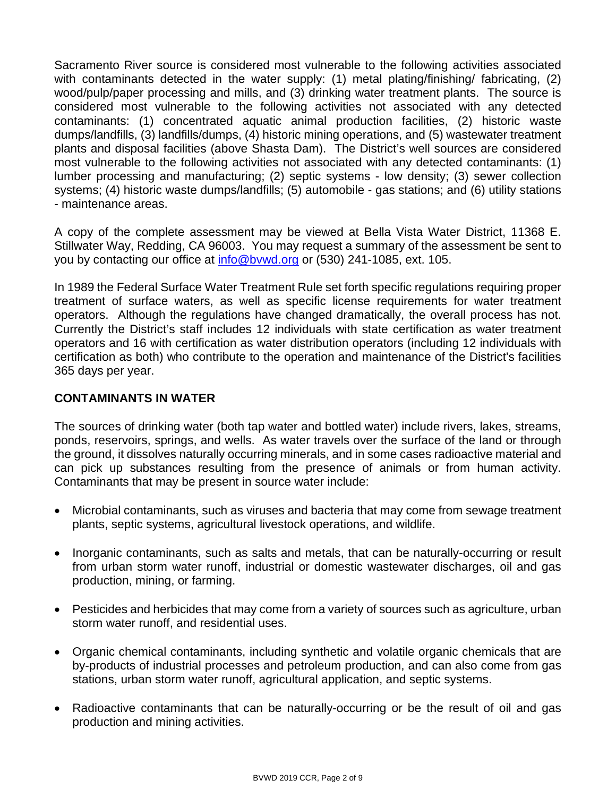Sacramento River source is considered most vulnerable to the following activities associated with contaminants detected in the water supply: (1) metal plating/finishing/ fabricating, (2) wood/pulp/paper processing and mills, and (3) drinking water treatment plants. The source is considered most vulnerable to the following activities not associated with any detected contaminants: (1) concentrated aquatic animal production facilities, (2) historic waste dumps/landfills, (3) landfills/dumps, (4) historic mining operations, and (5) wastewater treatment plants and disposal facilities (above Shasta Dam). The District's well sources are considered most vulnerable to the following activities not associated with any detected contaminants: (1) lumber processing and manufacturing; (2) septic systems - low density; (3) sewer collection systems; (4) historic waste dumps/landfills; (5) automobile - gas stations; and (6) utility stations - maintenance areas.

A copy of the complete assessment may be viewed at Bella Vista Water District, 11368 E. Stillwater Way, Redding, CA 96003. You may request a summary of the assessment be sent to you by contacting our office at [info@bvwd.org](mailto:info@bvwd.org) or (530) 241-1085, ext. 105.

In 1989 the Federal Surface Water Treatment Rule set forth specific regulations requiring proper treatment of surface waters, as well as specific license requirements for water treatment operators. Although the regulations have changed dramatically, the overall process has not. Currently the District's staff includes 12 individuals with state certification as water treatment operators and 16 with certification as water distribution operators (including 12 individuals with certification as both) who contribute to the operation and maintenance of the District's facilities 365 days per year.

### **CONTAMINANTS IN WATER**

The sources of drinking water (both tap water and bottled water) include rivers, lakes, streams, ponds, reservoirs, springs, and wells. As water travels over the surface of the land or through the ground, it dissolves naturally occurring minerals, and in some cases radioactive material and can pick up substances resulting from the presence of animals or from human activity. Contaminants that may be present in source water include:

- Microbial contaminants, such as viruses and bacteria that may come from sewage treatment plants, septic systems, agricultural livestock operations, and wildlife.
- Inorganic contaminants, such as salts and metals, that can be naturally-occurring or result from urban storm water runoff, industrial or domestic wastewater discharges, oil and gas production, mining, or farming.
- Pesticides and herbicides that may come from a variety of sources such as agriculture, urban storm water runoff, and residential uses.
- Organic chemical contaminants, including synthetic and volatile organic chemicals that are by-products of industrial processes and petroleum production, and can also come from gas stations, urban storm water runoff, agricultural application, and septic systems.
- Radioactive contaminants that can be naturally-occurring or be the result of oil and gas production and mining activities.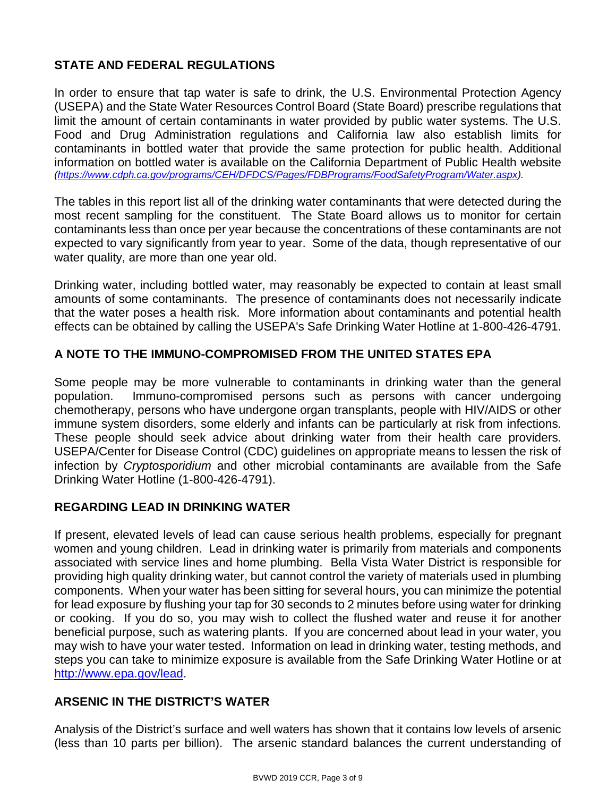### **STATE AND FEDERAL REGULATIONS**

In order to ensure that tap water is safe to drink, the U.S. Environmental Protection Agency (USEPA) and the State Water Resources Control Board (State Board) prescribe regulations that limit the amount of certain contaminants in water provided by public water systems. The U.S. Food and Drug Administration regulations and California law also establish limits for contaminants in bottled water that provide the same protection for public health. Additional information on bottled water is available on the California Department of Public Health website *[\(https://www.cdph.ca.gov/programs/CEH/DFDCS/Pages/FDBPrograms/FoodSafetyProgram/Water.aspx\)](https://www.cdph.ca.gov/programs/CEH/DFDCS/Pages/FDBPrograms/FoodSafetyProgram/Water.aspx).*

The tables in this report list all of the drinking water contaminants that were detected during the most recent sampling for the constituent. The State Board allows us to monitor for certain contaminants less than once per year because the concentrations of these contaminants are not expected to vary significantly from year to year. Some of the data, though representative of our water quality, are more than one year old.

Drinking water, including bottled water, may reasonably be expected to contain at least small amounts of some contaminants. The presence of contaminants does not necessarily indicate that the water poses a health risk. More information about contaminants and potential health effects can be obtained by calling the USEPA's Safe Drinking Water Hotline at 1-800-426-4791.

### **A NOTE TO THE IMMUNO-COMPROMISED FROM THE UNITED STATES EPA**

Some people may be more vulnerable to contaminants in drinking water than the general population. Immuno-compromised persons such as persons with cancer undergoing chemotherapy, persons who have undergone organ transplants, people with HIV/AIDS or other immune system disorders, some elderly and infants can be particularly at risk from infections. These people should seek advice about drinking water from their health care providers. USEPA/Center for Disease Control (CDC) guidelines on appropriate means to lessen the risk of infection by *Cryptosporidium* and other microbial contaminants are available from the Safe Drinking Water Hotline (1-800-426-4791).

#### **REGARDING LEAD IN DRINKING WATER**

If present, elevated levels of lead can cause serious health problems, especially for pregnant women and young children. Lead in drinking water is primarily from materials and components associated with service lines and home plumbing. Bella Vista Water District is responsible for providing high quality drinking water, but cannot control the variety of materials used in plumbing components. When your water has been sitting for several hours, you can minimize the potential for lead exposure by flushing your tap for 30 seconds to 2 minutes before using water for drinking or cooking. If you do so, you may wish to collect the flushed water and reuse it for another beneficial purpose, such as watering plants. If you are concerned about lead in your water, you may wish to have your water tested. Information on lead in drinking water, testing methods, and steps you can take to minimize exposure is available from the Safe Drinking Water Hotline or at [http://www.epa.gov/lead.](http://www.epa.gov/lead)

#### **ARSENIC IN THE DISTRICT'S WATER**

Analysis of the District's surface and well waters has shown that it contains low levels of arsenic (less than 10 parts per billion). The arsenic standard balances the current understanding of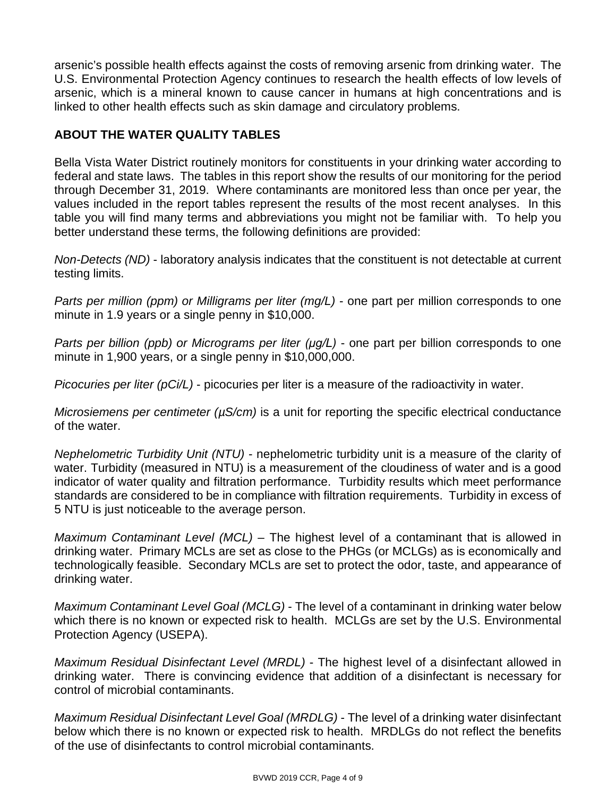arsenic's possible health effects against the costs of removing arsenic from drinking water. The U.S. Environmental Protection Agency continues to research the health effects of low levels of arsenic, which is a mineral known to cause cancer in humans at high concentrations and is linked to other health effects such as skin damage and circulatory problems.

### **ABOUT THE WATER QUALITY TABLES**

Bella Vista Water District routinely monitors for constituents in your drinking water according to federal and state laws. The tables in this report show the results of our monitoring for the period through December 31, 2019. Where contaminants are monitored less than once per year, the values included in the report tables represent the results of the most recent analyses. In this table you will find many terms and abbreviations you might not be familiar with. To help you better understand these terms, the following definitions are provided:

*Non-Detects (ND)* - laboratory analysis indicates that the constituent is not detectable at current testing limits.

*Parts per million (ppm) or Milligrams per liter (mg/L)* - one part per million corresponds to one minute in 1.9 years or a single penny in \$10,000.

*Parts per billion (ppb) or Micrograms per liter (μg/L)* - one part per billion corresponds to one minute in 1,900 years, or a single penny in \$10,000,000.

*Picocuries per liter (pCi/L)* - picocuries per liter is a measure of the radioactivity in water.

*Microsiemens per centimeter (* $\mu$ *S/cm)* is a unit for reporting the specific electrical conductance of the water.

*Nephelometric Turbidity Unit (NTU)* - nephelometric turbidity unit is a measure of the clarity of water. Turbidity (measured in NTU) is a measurement of the cloudiness of water and is a good indicator of water quality and filtration performance. Turbidity results which meet performance standards are considered to be in compliance with filtration requirements. Turbidity in excess of 5 NTU is just noticeable to the average person.

*Maximum Contaminant Level (MCL)* – The highest level of a contaminant that is allowed in drinking water. Primary MCLs are set as close to the PHGs (or MCLGs) as is economically and technologically feasible. Secondary MCLs are set to protect the odor, taste, and appearance of drinking water.

*Maximum Contaminant Level Goal (MCLG)* - The level of a contaminant in drinking water below which there is no known or expected risk to health. MCLGs are set by the U.S. Environmental Protection Agency (USEPA).

*Maximum Residual Disinfectant Level (MRDL)* - The highest level of a disinfectant allowed in drinking water. There is convincing evidence that addition of a disinfectant is necessary for control of microbial contaminants.

*Maximum Residual Disinfectant Level Goal (MRDLG)* - The level of a drinking water disinfectant below which there is no known or expected risk to health. MRDLGs do not reflect the benefits of the use of disinfectants to control microbial contaminants.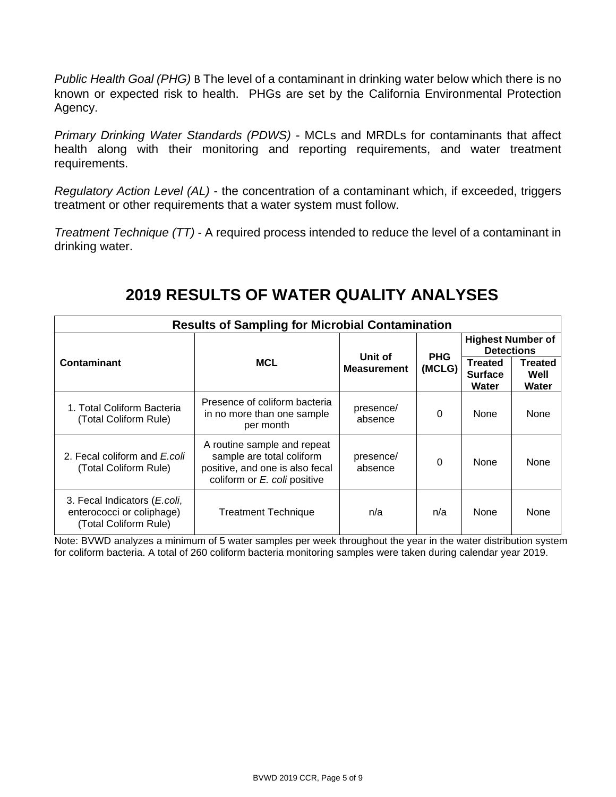*Public Health Goal (PHG)* B The level of a contaminant in drinking water below which there is no known or expected risk to health. PHGs are set by the California Environmental Protection Agency.

*Primary Drinking Water Standards (PDWS)* - MCLs and MRDLs for contaminants that affect health along with their monitoring and reporting requirements, and water treatment requirements.

*Regulatory Action Level (AL)* - the concentration of a contaminant which, if exceeded, triggers treatment or other requirements that a water system must follow.

*Treatment Technique (TT)* - A required process intended to reduce the level of a contaminant in drinking water.

# **2019 RESULTS OF WATER QUALITY ANALYSES**

| <b>Results of Sampling for Microbial Contamination</b>                                      |                                                                                                                             |                       |          |                                           |                                               |  |
|---------------------------------------------------------------------------------------------|-----------------------------------------------------------------------------------------------------------------------------|-----------------------|----------|-------------------------------------------|-----------------------------------------------|--|
|                                                                                             |                                                                                                                             | Unit of<br><b>PHG</b> |          |                                           | <b>Highest Number of</b><br><b>Detections</b> |  |
| <b>Contaminant</b>                                                                          | <b>MCL</b>                                                                                                                  | <b>Measurement</b>    | (MCLG)   | <b>Treated</b><br><b>Surface</b><br>Water | <b>Treated</b><br>Well<br>Water               |  |
| 1. Total Coliform Bacteria<br>(Total Coliform Rule)                                         | Presence of coliform bacteria<br>in no more than one sample<br>per month                                                    | presence/<br>absence  | $\Omega$ | <b>None</b>                               | None                                          |  |
| 2. Fecal coliform and E.coli<br>(Total Coliform Rule)                                       | A routine sample and repeat<br>sample are total coliform<br>positive, and one is also fecal<br>coliform or E. coli positive | presence/<br>absence  | $\Omega$ | <b>None</b>                               | None                                          |  |
| 3. Fecal Indicators ( <i>E.coli</i> ,<br>enterococci or coliphage)<br>(Total Coliform Rule) | <b>Treatment Technique</b>                                                                                                  | n/a                   | n/a      | <b>None</b>                               | None                                          |  |

Note: BVWD analyzes a minimum of 5 water samples per week throughout the year in the water distribution system for coliform bacteria. A total of 260 coliform bacteria monitoring samples were taken during calendar year 2019.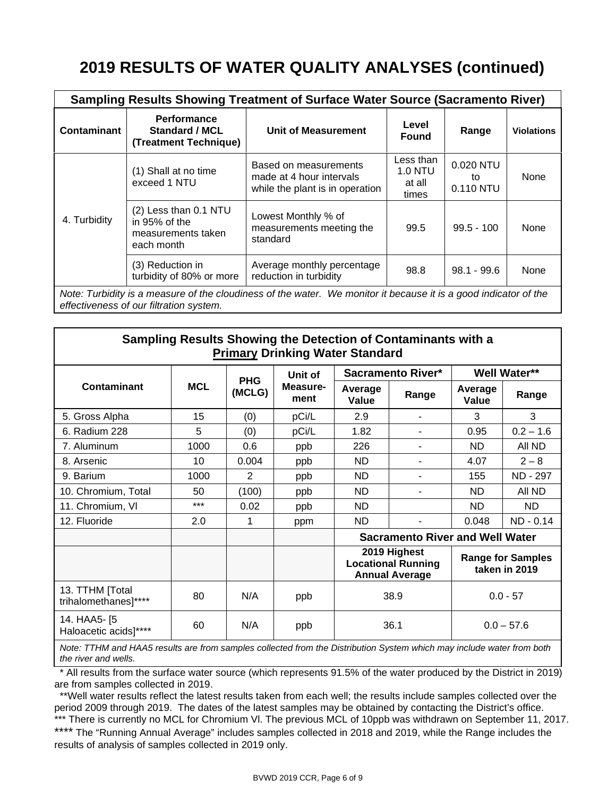# **2019 RESULTS OF WATER QUALITY ANALYSES (continued)**

|                                                                                                                                                             | <b>Sampling Results Showing Treatment of Surface Water Source (Sacramento River)</b> |                                                                                      |                                         |                              |                   |  |  |
|-------------------------------------------------------------------------------------------------------------------------------------------------------------|--------------------------------------------------------------------------------------|--------------------------------------------------------------------------------------|-----------------------------------------|------------------------------|-------------------|--|--|
| <b>Contaminant</b>                                                                                                                                          | <b>Performance</b><br><b>Standard / MCL</b><br>(Treatment Technique)                 | <b>Unit of Measurement</b>                                                           | Level<br><b>Found</b>                   | Range                        | <b>Violations</b> |  |  |
|                                                                                                                                                             | (1) Shall at no time<br>exceed 1 NTU                                                 | Based on measurements<br>made at 4 hour intervals<br>while the plant is in operation | Less than<br>1.0 NTU<br>at all<br>times | 0.020 NTU<br>to<br>0.110 NTU | None              |  |  |
| 4. Turbidity                                                                                                                                                | (2) Less than 0.1 NTU<br>in 95% of the<br>measurements taken<br>each month           | Lowest Monthly % of<br>measurements meeting the<br>standard                          | 99.5                                    | $99.5 - 100$                 | None              |  |  |
|                                                                                                                                                             | (3) Reduction in<br>turbidity of 80% or more                                         | Average monthly percentage<br>reduction in turbidity                                 | 98.8                                    | $98.1 - 99.6$                | None              |  |  |
| Note: Turbidity is a measure of the cloudiness of the water. We monitor it because it is a good indicator of the<br>effectiveness of our filtration system. |                                                                                      |                                                                                      |                                         |                              |                   |  |  |

**Sampling Results Showing the Detection of Contaminants with a Primary Drinking Water Standard**

|                                         |            |                      | Unit of          |                                                                                                                 | <b>Sacramento River*</b> |                  | <b>Well Water**</b> |
|-----------------------------------------|------------|----------------------|------------------|-----------------------------------------------------------------------------------------------------------------|--------------------------|------------------|---------------------|
| Contaminant                             | <b>MCL</b> | <b>PHG</b><br>(MCLG) | Measure-<br>ment | Average<br>Value                                                                                                | Range                    | Average<br>Value | Range               |
| 5. Gross Alpha                          | 15         | (0)                  | pCi/L            | 2.9                                                                                                             | ۰                        | 3                | 3                   |
| 6. Radium 228                           | 5          | (0)                  | pCi/L            | 1.82                                                                                                            | ۰                        | 0.95             | $0.2 - 1.6$         |
| 7. Aluminum                             | 1000       | 0.6                  | ppb              | 226                                                                                                             |                          | ND.              | All ND              |
| 8. Arsenic                              | 10         | 0.004                | ppb              | ND.                                                                                                             | ۰                        | 4.07             | $2 - 8$             |
| 9. Barium                               | 1000       | 2                    | ppb              | ND.                                                                                                             | -                        | 155              | ND - 297            |
| 10. Chromium, Total                     | 50         | (100)                | ppb              | ND.                                                                                                             | ۰                        | ND.              | All ND              |
| 11. Chromium, VI                        | $***$      | 0.02                 | ppb              | ND.                                                                                                             |                          | ND.              | ND.                 |
| 12. Fluoride                            | 2.0        | 1                    | ppm              | ND.                                                                                                             |                          | 0.048            | ND - 0.14           |
|                                         |            |                      |                  | <b>Sacramento River and Well Water</b>                                                                          |                          |                  |                     |
|                                         |            |                      |                  | 2019 Highest<br><b>Range for Samples</b><br><b>Locational Running</b><br>taken in 2019<br><b>Annual Average</b> |                          |                  |                     |
| 13. TTHM [Total<br>trihalomethanes]**** | 80         | N/A                  | ppb              | 38.9<br>$0.0 - 57$                                                                                              |                          |                  |                     |
| 14. HAA5- [5<br>Haloacetic acids]****   | 60         | N/A                  | ppb              | 36.1                                                                                                            |                          |                  | $0.0 - 57.6$        |

*Note: TTHM and HAA5 results are from samples collected from the Distribution System which may include water from both the river and wells.*

 \* All results from the surface water source (which represents 91.5% of the water produced by the District in 2019) are from samples collected in 2019.

 \*\*Well water results reflect the latest results taken from each well; the results include samples collected over the period 2009 through 2019. The dates of the latest samples may be obtained by contacting the District's office. \*\*\* There is currently no MCL for Chromium VI. The previous MCL of 10ppb was withdrawn on September 11, 2017. \*\*\*\* The "Running Annual Average" includes samples collected in 2018 and 2019, while the Range includes the results of analysis of samples collected in 2019 only.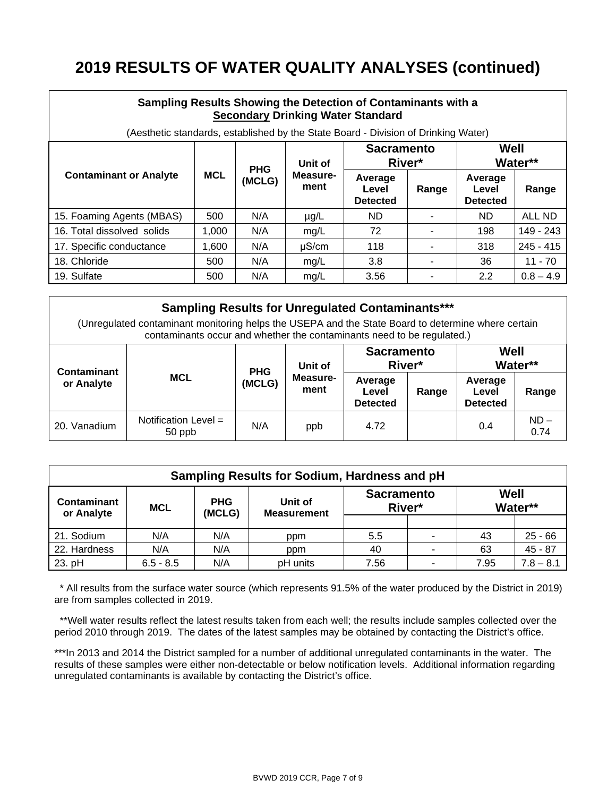# **2019 RESULTS OF WATER QUALITY ANALYSES (continued)**

| Sampling Results Showing the Detection of Contaminants with a<br><b>Secondary Drinking Water Standard</b> |            |            |                  |                                     |       |                                     |             |
|-----------------------------------------------------------------------------------------------------------|------------|------------|------------------|-------------------------------------|-------|-------------------------------------|-------------|
| (Aesthetic standards, established by the State Board - Division of Drinking Water)                        |            |            |                  |                                     |       |                                     |             |
|                                                                                                           |            | <b>PHG</b> | Unit of          | <b>Sacramento</b><br>River*         |       | Well<br>Water**                     |             |
| <b>Contaminant or Analyte</b>                                                                             | <b>MCL</b> | (MCLG)     | Measure-<br>ment | Average<br>Level<br><b>Detected</b> | Range | Average<br>Level<br><b>Detected</b> | Range       |
| 15. Foaming Agents (MBAS)                                                                                 | 500        | N/A        | $\mu$ g/L        | ND.                                 |       | ND.                                 | ALL ND      |
| 16. Total dissolved solids                                                                                | 1.000      | N/A        | mg/L             | 72                                  |       | 198                                 | 149 - 243   |
| 17. Specific conductance                                                                                  | 1,600      | N/A        | $\mu$ S/cm       | 118                                 |       | 318                                 | $245 - 415$ |
| 18. Chloride                                                                                              | 500        | N/A        | mg/L             | 3.8                                 |       | 36                                  | $11 - 70$   |
| 19. Sulfate                                                                                               | 500        | N/A        | mg/L             | 3.56                                |       | 2.2                                 | $0.8 - 4.9$ |

| <b>Sampling Results for Unregulated Contaminants***</b><br>(Unregulated contaminant monitoring helps the USEPA and the State Board to determine where certain<br>contaminants occur and whether the contaminants need to be regulated.) |                                  |            |                  |                                     |       |                                     |                |
|-----------------------------------------------------------------------------------------------------------------------------------------------------------------------------------------------------------------------------------------|----------------------------------|------------|------------------|-------------------------------------|-------|-------------------------------------|----------------|
| <b>Contaminant</b>                                                                                                                                                                                                                      |                                  | <b>PHG</b> | Unit of          | <b>Sacramento</b><br>River*         |       | Well<br>Water**                     |                |
| or Analyte                                                                                                                                                                                                                              | <b>MCL</b>                       | (MCLG)     | Measure-<br>ment | Average<br>Level<br><b>Detected</b> | Range | Average<br>Level<br><b>Detected</b> | Range          |
| 20. Vanadium                                                                                                                                                                                                                            | Notification Level $=$<br>50 ppb | N/A        | ppb              | 4.72                                |       | 0.4                                 | $ND -$<br>0.74 |

| Sampling Results for Sodium, Hardness and pH |             |                      |                               |                             |                |      |             |
|----------------------------------------------|-------------|----------------------|-------------------------------|-----------------------------|----------------|------|-------------|
| <b>Contaminant</b><br>or Analyte             | <b>MCL</b>  | <b>PHG</b><br>(MCLG) | Unit of<br><b>Measurement</b> | <b>Sacramento</b><br>River* |                | Well | Water**     |
|                                              |             |                      |                               |                             |                |      |             |
| 21. Sodium                                   | N/A         | N/A                  | ppm                           | $5.5\,$                     | ۰              | 43   | $25 - 66$   |
| 22. Hardness                                 | N/A         | N/A                  | ppm                           | 40                          | $\blacksquare$ | 63   | $45 - 87$   |
| 23. pH                                       | $6.5 - 8.5$ | N/A                  | pH units                      | 7.56                        | ۰              | 7.95 | $7.8 - 8.1$ |

 \* All results from the surface water source (which represents 91.5% of the water produced by the District in 2019) are from samples collected in 2019.

 \*\*Well water results reflect the latest results taken from each well; the results include samples collected over the period 2010 through 2019. The dates of the latest samples may be obtained by contacting the District's office.

\*\*\*In 2013 and 2014 the District sampled for a number of additional unregulated contaminants in the water. The results of these samples were either non-detectable or below notification levels. Additional information regarding unregulated contaminants is available by contacting the District's office.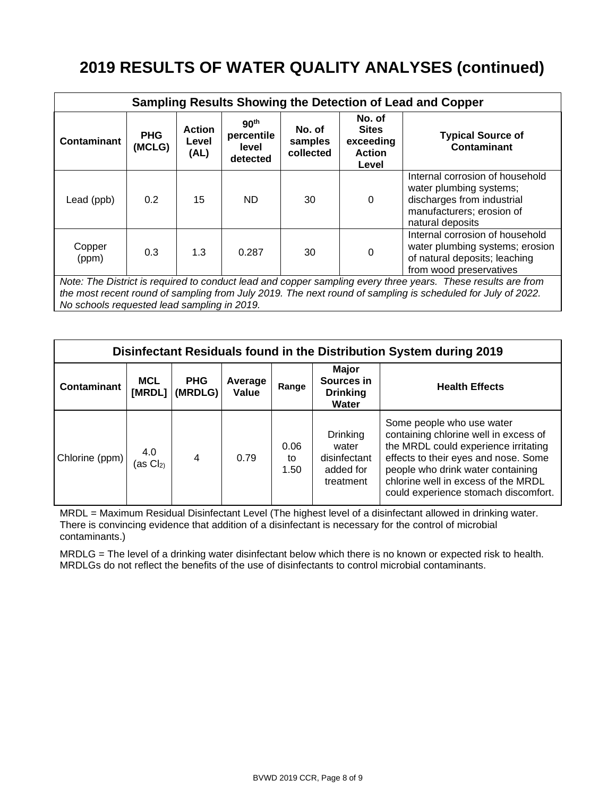# **2019 RESULTS OF WATER QUALITY ANALYSES (continued)**

| Sampling Results Showing the Detection of Lead and Copper                                                                                                                                                                                                                  |                                                                                                                                                                  |                                |                                                     |                                |                                                               |                                                                                                                                           |
|----------------------------------------------------------------------------------------------------------------------------------------------------------------------------------------------------------------------------------------------------------------------------|------------------------------------------------------------------------------------------------------------------------------------------------------------------|--------------------------------|-----------------------------------------------------|--------------------------------|---------------------------------------------------------------|-------------------------------------------------------------------------------------------------------------------------------------------|
| <b>Contaminant</b>                                                                                                                                                                                                                                                         | <b>PHG</b><br>(MCLG)                                                                                                                                             | <b>Action</b><br>Level<br>(AL) | 90 <sup>th</sup><br>percentile<br>level<br>detected | No. of<br>samples<br>collected | No. of<br><b>Sites</b><br>exceeding<br><b>Action</b><br>Level | <b>Typical Source of</b><br><b>Contaminant</b>                                                                                            |
| Lead (ppb)                                                                                                                                                                                                                                                                 | 0.2                                                                                                                                                              | 15                             | ND.                                                 | 30                             | $\mathbf{0}$                                                  | Internal corrosion of household<br>water plumbing systems;<br>discharges from industrial<br>manufacturers; erosion of<br>natural deposits |
| Copper<br>(ppm)                                                                                                                                                                                                                                                            | Internal corrosion of household<br>water plumbing systems; erosion<br>1.3<br>0.3<br>0<br>0.287<br>30<br>of natural deposits; leaching<br>from wood preservatives |                                |                                                     |                                |                                                               |                                                                                                                                           |
| Note: The District is required to conduct lead and copper sampling every three years. These results are from<br>the most recent round of sampling from July 2019. The next round of sampling is scheduled for July of 2022.<br>No schools requested lead sampling in 2019. |                                                                                                                                                                  |                                |                                                     |                                |                                                               |                                                                                                                                           |

**Disinfectant Residuals found in the Distribution System during 2019 Contaminant MCL [MRDL] (MRDLG) PHG Average Value Range Major Sources in Drinking Water Health Effects** Chlorine (ppm)  $\begin{bmatrix} 4.0 \\ 4.0 \end{bmatrix}$  $(as  $Cl<sub>2</sub>$ )$ 4 0.79 0.06 to 1.50 **Drinking** water disinfectant added for treatment Some people who use water containing chlorine well in excess of the MRDL could experience irritating effects to their eyes and nose. Some people who drink water containing chlorine well in excess of the MRDL could experience stomach discomfort.

MRDL = Maximum Residual Disinfectant Level (The highest level of a disinfectant allowed in drinking water. There is convincing evidence that addition of a disinfectant is necessary for the control of microbial contaminants.)

MRDLG = The level of a drinking water disinfectant below which there is no known or expected risk to health. MRDLGs do not reflect the benefits of the use of disinfectants to control microbial contaminants.